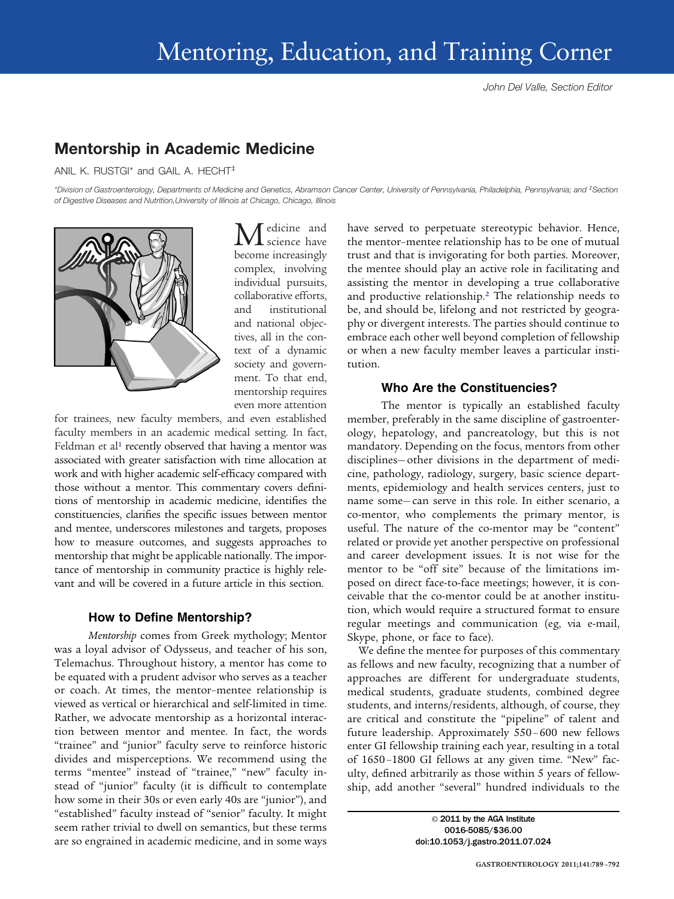## **Mentorship in Academic Medicine**

ANIL K. RUSTGI\* and GAIL A. HECHT‡

*\*Division of Gastroenterology, Departments of Medicine and Genetics, Abramson Cancer Center, University of Pennsylvania, Philadelphia, Pennsylvania; and ‡ Section of Digestive Diseases and Nutrition,University of Illinois at Chicago, Chicago, Illinois*



edicine and science have become increasingly complex, involving individual pursuits, collaborative efforts, and institutional and national objectives, all in the context of a dynamic society and government. To that end, mentorship requires even more attention

for trainees, new faculty members, and even established faculty members in an academic medical setting. In fact, Feldman et al<sup>1</sup> recently observed that having a mentor was associated with greater satisfaction with time allocation at work and with higher academic self-efficacy compared with those without a mentor. This commentary covers definitions of mentorship in academic medicine, identifies the constituencies, clarifies the specific issues between mentor and mentee, underscores milestones and targets, proposes how to measure outcomes, and suggests approaches to mentorship that might be applicable nationally. The importance of mentorship in community practice is highly relevant and will be covered in a future article in this section.

## **How to Define Mentorship?**

*Mentorship* comes from Greek mythology; Mentor was a loyal advisor of Odysseus, and teacher of his son, Telemachus. Throughout history, a mentor has come to be equated with a prudent advisor who serves as a teacher or coach. At times, the mentor–mentee relationship is viewed as vertical or hierarchical and self-limited in time. Rather, we advocate mentorship as a horizontal interaction between mentor and mentee. In fact, the words "trainee" and "junior" faculty serve to reinforce historic divides and misperceptions. We recommend using the terms "mentee" instead of "trainee," "new" faculty instead of "junior" faculty (it is difficult to contemplate how some in their 30s or even early 40s are "junior"), and "established" faculty instead of "senior" faculty. It might seem rather trivial to dwell on semantics, but these terms are so engrained in academic medicine, and in some ways

have served to perpetuate stereotypic behavior. Hence, the mentor–mentee relationship has to be one of mutual trust and that is invigorating for both parties. Moreover, the mentee should play an active role in facilitating and assisting the mentor in developing a true collaborative and productive relationship[.2](#page-3-1) The relationship needs to be, and should be, lifelong and not restricted by geography or divergent interests. The parties should continue to embrace each other well beyond completion of fellowship or when a new faculty member leaves a particular institution.

#### **Who Are the Constituencies?**

The mentor is typically an established faculty member, preferably in the same discipline of gastroenterology, hepatology, and pancreatology, but this is not mandatory. Depending on the focus, mentors from other disciplines— other divisions in the department of medicine, pathology, radiology, surgery, basic science departments, epidemiology and health services centers, just to name some— can serve in this role. In either scenario, a co-mentor, who complements the primary mentor, is useful. The nature of the co-mentor may be "content" related or provide yet another perspective on professional and career development issues. It is not wise for the mentor to be "off site" because of the limitations imposed on direct face-to-face meetings; however, it is conceivable that the co-mentor could be at another institution, which would require a structured format to ensure regular meetings and communication (eg, via e-mail, Skype, phone, or face to face).

We define the mentee for purposes of this commentary as fellows and new faculty, recognizing that a number of approaches are different for undergraduate students, medical students, graduate students, combined degree students, and interns/residents, although, of course, they are critical and constitute the "pipeline" of talent and future leadership. Approximately 550 – 600 new fellows enter GI fellowship training each year, resulting in a total of 1650 –1800 GI fellows at any given time. "New" faculty, defined arbitrarily as those within 5 years of fellowship, add another "several" hundred individuals to the

> © 2011 by the AGA Institute 0016-5085/\$36.00 doi:10.1053/j.gastro.2011.07.024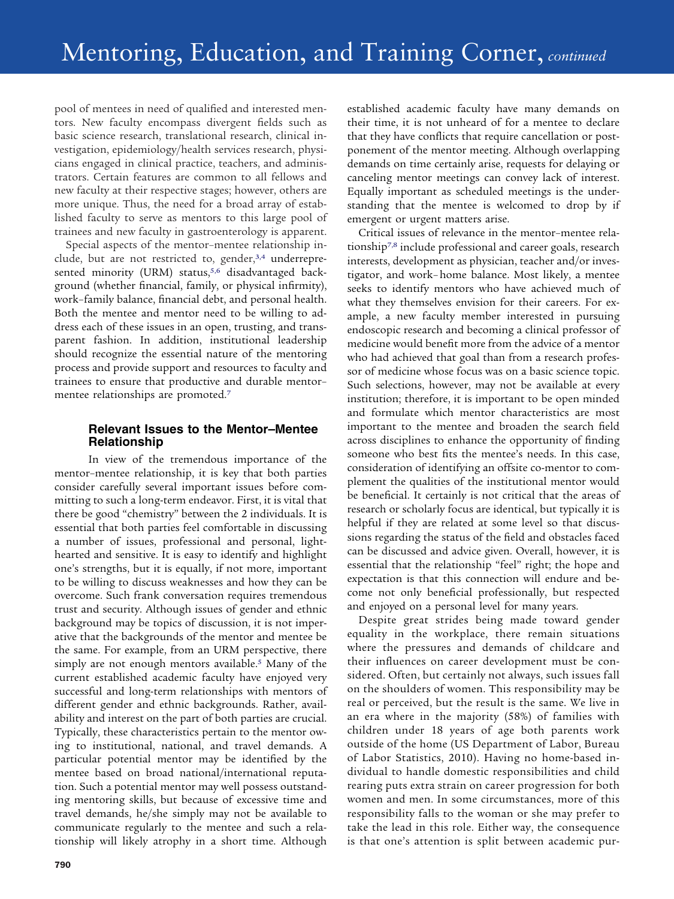pool of mentees in need of qualified and interested mentors. New faculty encompass divergent fields such as basic science research, translational research, clinical investigation, epidemiology/health services research, physicians engaged in clinical practice, teachers, and administrators. Certain features are common to all fellows and new faculty at their respective stages; however, others are more unique. Thus, the need for a broad array of established faculty to serve as mentors to this large pool of trainees and new faculty in gastroenterology is apparent.

Special aspects of the mentor–mentee relationship include, but are not restricted to, gender,<sup>3,4</sup> underrepresented minority (URM) status,<sup>5,6</sup> disadvantaged background (whether financial, family, or physical infirmity), work–family balance, financial debt, and personal health. Both the mentee and mentor need to be willing to address each of these issues in an open, trusting, and transparent fashion. In addition, institutional leadership should recognize the essential nature of the mentoring process and provide support and resources to faculty and trainees to ensure that productive and durable mentor– mentee relationships are promoted[.7](#page-3-4)

## **Relevant Issues to the Mentor–Mentee Relationship**

In view of the tremendous importance of the mentor–mentee relationship, it is key that both parties consider carefully several important issues before committing to such a long-term endeavor. First, it is vital that there be good "chemistry" between the 2 individuals. It is essential that both parties feel comfortable in discussing a number of issues, professional and personal, lighthearted and sensitive. It is easy to identify and highlight one's strengths, but it is equally, if not more, important to be willing to discuss weaknesses and how they can be overcome. Such frank conversation requires tremendous trust and security. Although issues of gender and ethnic background may be topics of discussion, it is not imperative that the backgrounds of the mentor and mentee be the same. For example, from an URM perspective, there simply are not enough mentors available.<sup>5</sup> Many of the current established academic faculty have enjoyed very successful and long-term relationships with mentors of different gender and ethnic backgrounds. Rather, availability and interest on the part of both parties are crucial. Typically, these characteristics pertain to the mentor owing to institutional, national, and travel demands. A particular potential mentor may be identified by the mentee based on broad national/international reputation. Such a potential mentor may well possess outstanding mentoring skills, but because of excessive time and travel demands, he/she simply may not be available to communicate regularly to the mentee and such a relationship will likely atrophy in a short time. Although

established academic faculty have many demands on their time, it is not unheard of for a mentee to declare that they have conflicts that require cancellation or postponement of the mentor meeting. Although overlapping demands on time certainly arise, requests for delaying or canceling mentor meetings can convey lack of interest. Equally important as scheduled meetings is the understanding that the mentee is welcomed to drop by if emergent or urgent matters arise.

Critical issues of relevance in the mentor–mentee relationshi[p7,8](#page-3-4) include professional and career goals, research interests, development as physician, teacher and/or investigator, and work– home balance. Most likely, a mentee seeks to identify mentors who have achieved much of what they themselves envision for their careers. For example, a new faculty member interested in pursuing endoscopic research and becoming a clinical professor of medicine would benefit more from the advice of a mentor who had achieved that goal than from a research professor of medicine whose focus was on a basic science topic. Such selections, however, may not be available at every institution; therefore, it is important to be open minded and formulate which mentor characteristics are most important to the mentee and broaden the search field across disciplines to enhance the opportunity of finding someone who best fits the mentee's needs. In this case, consideration of identifying an offsite co-mentor to complement the qualities of the institutional mentor would be beneficial. It certainly is not critical that the areas of research or scholarly focus are identical, but typically it is helpful if they are related at some level so that discussions regarding the status of the field and obstacles faced can be discussed and advice given. Overall, however, it is essential that the relationship "feel" right; the hope and expectation is that this connection will endure and become not only beneficial professionally, but respected and enjoyed on a personal level for many years.

Despite great strides being made toward gender equality in the workplace, there remain situations where the pressures and demands of childcare and their influences on career development must be considered. Often, but certainly not always, such issues fall on the shoulders of women. This responsibility may be real or perceived, but the result is the same. We live in an era where in the majority (58%) of families with children under 18 years of age both parents work outside of the home (US Department of Labor, Bureau of Labor Statistics, 2010). Having no home-based individual to handle domestic responsibilities and child rearing puts extra strain on career progression for both women and men. In some circumstances, more of this responsibility falls to the woman or she may prefer to take the lead in this role. Either way, the consequence is that one's attention is split between academic pur-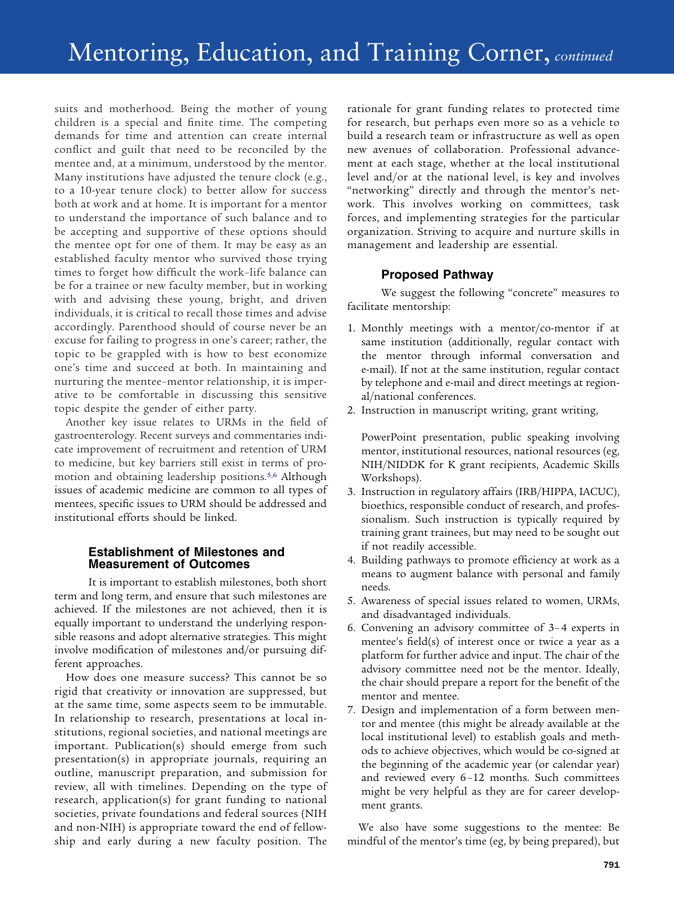## Mentoring, Education, and Training Corner, *continued*

suits and motherhood. Being the mother of young children is a special and finite time. The competing demands for time and attention can create internal conflict and guilt that need to be reconciled by the mentee and, at a minimum, understood by the mentor. Many institutions have adjusted the tenure clock (e.g., to a 10-year tenure clock) to better allow for success both at work and at home. It is important for a mentor to understand the importance of such balance and to be accepting and supportive of these options should the mentee opt for one of them. It may be easy as an established faculty mentor who survived those trying times to forget how difficult the work–life balance can be for a trainee or new faculty member, but in working with and advising these young, bright, and driven individuals, it is critical to recall those times and advise accordingly. Parenthood should of course never be an excuse for failing to progress in one's career; rather, the topic to be grappled with is how to best economize one's time and succeed at both. In maintaining and nurturing the mentee–mentor relationship, it is imperative to be comfortable in discussing this sensitive topic despite the gender of either party.

Another key issue relates to URMs in the field of gastroenterology. Recent surveys and commentaries indicate improvement of recruitment and retention of URM to medicine, but key barriers still exist in terms of promotion and obtaining leadership positions[.5,6](#page-3-3) Although issues of academic medicine are common to all types of mentees, specific issues to URM should be addressed and institutional efforts should be linked.

#### **Establishment of Milestones and Measurement of Outcomes**

It is important to establish milestones, both short term and long term, and ensure that such milestones are achieved. If the milestones are not achieved, then it is equally important to understand the underlying responsible reasons and adopt alternative strategies. This might involve modification of milestones and/or pursuing different approaches.

How does one measure success? This cannot be so rigid that creativity or innovation are suppressed, but at the same time, some aspects seem to be immutable. In relationship to research, presentations at local institutions, regional societies, and national meetings are important. Publication(s) should emerge from such presentation(s) in appropriate journals, requiring an outline, manuscript preparation, and submission for review, all with timelines. Depending on the type of research, application(s) for grant funding to national societies, private foundations and federal sources (NIH and non-NIH) is appropriate toward the end of fellowship and early during a new faculty position. The

rationale for grant funding relates to protected time for research, but perhaps even more so as a vehicle to build a research team or infrastructure as well as open new avenues of collaboration. Professional advancement at each stage, whether at the local institutional level and/or at the national level, is key and involves "networking" directly and through the mentor's network. This involves working on committees, task forces, and implementing strategies for the particular organization. Striving to acquire and nurture skills in management and leadership are essential.

## **Proposed Pathway**

We suggest the following "concrete" measures to facilitate mentorship:

- 1. Monthly meetings with a mentor/co-mentor if at same institution (additionally, regular contact with the mentor through informal conversation and e-mail). If not at the same institution, regular contact by telephone and e-mail and direct meetings at regional/national conferences.
- 2. Instruction in manuscript writing, grant writing,

PowerPoint presentation, public speaking involving mentor, institutional resources, national resources (eg, NIH/NIDDK for K grant recipients, Academic Skills Workshops).

- 3. Instruction in regulatory affairs (IRB/HIPPA, IACUC), bioethics, responsible conduct of research, and professionalism. Such instruction is typically required by training grant trainees, but may need to be sought out if not readily accessible.
- 4. Building pathways to promote efficiency at work as a means to augment balance with personal and family needs.
- 5. Awareness of special issues related to women, URMs, and disadvantaged individuals.
- 6. Convening an advisory committee of 3– 4 experts in mentee's field(s) of interest once or twice a year as a platform for further advice and input. The chair of the advisory committee need not be the mentor. Ideally, the chair should prepare a report for the benefit of the mentor and mentee.
- 7. Design and implementation of a form between mentor and mentee (this might be already available at the local institutional level) to establish goals and methods to achieve objectives, which would be co-signed at the beginning of the academic year (or calendar year) and reviewed every 6 –12 months. Such committees might be very helpful as they are for career development grants.

We also have some suggestions to the mentee: Be mindful of the mentor's time (eg, by being prepared), but